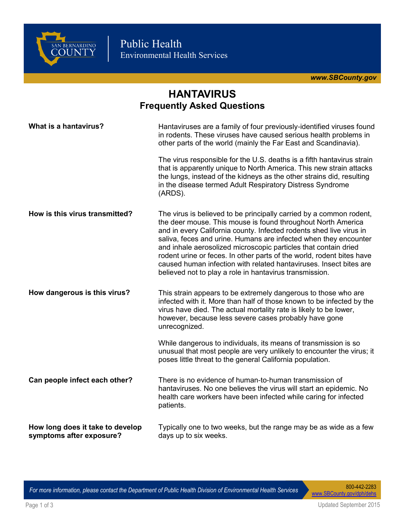

*[www.SBCounty.gov](http://www.SBCounty.gov)*

## **HANTAVIRUS Frequently Asked Questions**

| What is a hantavirus?                                        | Hantaviruses are a family of four previously-identified viruses found<br>in rodents. These viruses have caused serious health problems in<br>other parts of the world (mainly the Far East and Scandinavia).                                                                                                                                                                                                                                                                                                                                                |
|--------------------------------------------------------------|-------------------------------------------------------------------------------------------------------------------------------------------------------------------------------------------------------------------------------------------------------------------------------------------------------------------------------------------------------------------------------------------------------------------------------------------------------------------------------------------------------------------------------------------------------------|
|                                                              | The virus responsible for the U.S. deaths is a fifth hantavirus strain<br>that is apparently unique to North America. This new strain attacks<br>the lungs, instead of the kidneys as the other strains did, resulting<br>in the disease termed Adult Respiratory Distress Syndrome<br>(ARDS).                                                                                                                                                                                                                                                              |
| How is this virus transmitted?                               | The virus is believed to be principally carried by a common rodent,<br>the deer mouse. This mouse is found throughout North America<br>and in every California county. Infected rodents shed live virus in<br>saliva, feces and urine. Humans are infected when they encounter<br>and inhale aerosolized microscopic particles that contain dried<br>rodent urine or feces. In other parts of the world, rodent bites have<br>caused human infection with related hantaviruses. Insect bites are<br>believed not to play a role in hantavirus transmission. |
| How dangerous is this virus?                                 | This strain appears to be extremely dangerous to those who are<br>infected with it. More than half of those known to be infected by the<br>virus have died. The actual mortality rate is likely to be lower,<br>however, because less severe cases probably have gone<br>unrecognized.                                                                                                                                                                                                                                                                      |
|                                                              | While dangerous to individuals, its means of transmission is so<br>unusual that most people are very unlikely to encounter the virus; it<br>poses little threat to the general California population.                                                                                                                                                                                                                                                                                                                                                       |
| Can people infect each other?                                | There is no evidence of human-to-human transmission of<br>hantaviruses. No one believes the virus will start an epidemic. No<br>health care workers have been infected while caring for infected<br>patients.                                                                                                                                                                                                                                                                                                                                               |
| How long does it take to develop<br>symptoms after exposure? | Typically one to two weeks, but the range may be as wide as a few<br>days up to six weeks.                                                                                                                                                                                                                                                                                                                                                                                                                                                                  |

*For more information, please contact the Department of Public Health Division of Environmental Health Services* 

[www.SBCounty.gov/dph/dehs](http://www.SBCounty.gov/dph/dehs)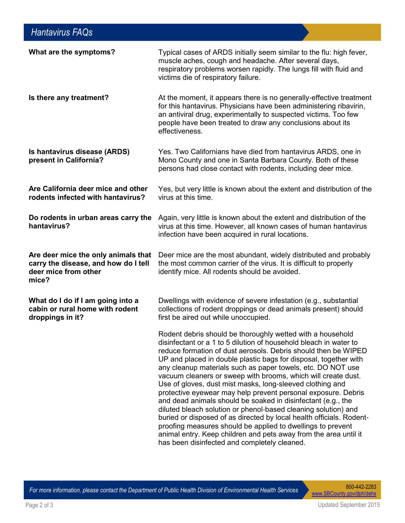| What are the symptoms?                                                                                       | Typical cases of ARDS initially seem similar to the flu: high fever,<br>muscle aches, cough and headache. After several days,<br>respiratory problems worsen rapidly. The lungs fill with fluid and<br>victims die of respiratory failure.                                                                                                                                                                                                                                                                                                                                                                                                                                                                                                                                                                                                                                                                                       |
|--------------------------------------------------------------------------------------------------------------|----------------------------------------------------------------------------------------------------------------------------------------------------------------------------------------------------------------------------------------------------------------------------------------------------------------------------------------------------------------------------------------------------------------------------------------------------------------------------------------------------------------------------------------------------------------------------------------------------------------------------------------------------------------------------------------------------------------------------------------------------------------------------------------------------------------------------------------------------------------------------------------------------------------------------------|
| Is there any treatment?                                                                                      | At the moment, it appears there is no generally-effective treatment<br>for this hantavirus. Physicians have been administering ribavirin,<br>an antiviral drug, experimentally to suspected victims. Too few<br>people have been treated to draw any conclusions about its<br>effectiveness.                                                                                                                                                                                                                                                                                                                                                                                                                                                                                                                                                                                                                                     |
| Is hantavirus disease (ARDS)<br>present in California?                                                       | Yes. Two Californians have died from hantavirus ARDS, one in<br>Mono County and one in Santa Barbara County. Both of these<br>persons had close contact with rodents, including deer mice.                                                                                                                                                                                                                                                                                                                                                                                                                                                                                                                                                                                                                                                                                                                                       |
| Are California deer mice and other<br>rodents infected with hantavirus?                                      | Yes, but very little is known about the extent and distribution of the<br>virus at this time.                                                                                                                                                                                                                                                                                                                                                                                                                                                                                                                                                                                                                                                                                                                                                                                                                                    |
| Do rodents in urban areas carry the<br>hantavirus?                                                           | Again, very little is known about the extent and distribution of the<br>virus at this time. However, all known cases of human hantavirus<br>infection have been acquired in rural locations.                                                                                                                                                                                                                                                                                                                                                                                                                                                                                                                                                                                                                                                                                                                                     |
| Are deer mice the only animals that<br>carry the disease, and how do I tell<br>deer mice from other<br>mice? | Deer mice are the most abundant, widely distributed and probably<br>the most common carrier of the virus. It is difficult to properly<br>identify mice. All rodents should be avoided.                                                                                                                                                                                                                                                                                                                                                                                                                                                                                                                                                                                                                                                                                                                                           |
| What do I do if I am going into a<br>cabin or rural home with rodent<br>droppings in it?                     | Dwellings with evidence of severe infestation (e.g., substantial<br>collections of rodent droppings or dead animals present) should<br>first be aired out while unoccupied.                                                                                                                                                                                                                                                                                                                                                                                                                                                                                                                                                                                                                                                                                                                                                      |
|                                                                                                              | Rodent debris should be thoroughly wetted with a household<br>disinfectant or a 1 to 5 dilution of household bleach in water to<br>reduce formation of dust aerosols. Debris should then be WIPED<br>UP and placed in double plastic bags for disposal, together with<br>any cleanup materials such as paper towels, etc. DO NOT use<br>vacuum cleaners or sweep with brooms, which will create dust.<br>Use of gloves, dust mist masks, long-sleeved clothing and<br>protective eyewear may help prevent personal exposure. Debris<br>and dead animals should be soaked in disinfectant (e.g., the<br>diluted bleach solution or phenol-based cleaning solution) and<br>buried or disposed of as directed by local health officials. Rodent-<br>proofing measures should be applied to dwellings to prevent<br>animal entry. Keep children and pets away from the area until it<br>has been disinfected and completely cleaned. |

*For more information, please contact the Department of Public Health Division of Environmental Health Services* 

[www.SBCounty.gov/dph/dehs](http://www.SBCounty.gov/dph/dehs)